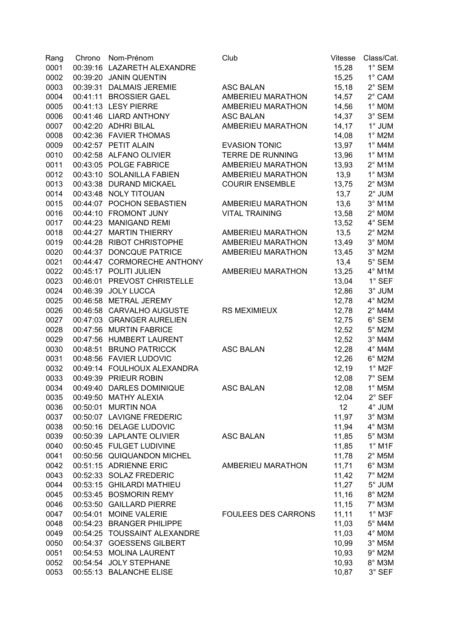| Rang | Chrono | Nom-Prénom                                          | Club                       | Vitesse         | Class/Cat.                 |
|------|--------|-----------------------------------------------------|----------------------------|-----------------|----------------------------|
| 0001 |        | 00:39:16 LAZARETH ALEXANDRE                         |                            | 15,28           | 1° SEM                     |
| 0002 |        | 00:39:20 JANIN QUENTIN                              |                            | 15,25           | 1° CAM                     |
| 0003 |        | 00:39:31 DALMAIS JEREMIE                            | <b>ASC BALAN</b>           | 15,18           | 2° SEM                     |
| 0004 |        | 00:41:11 BROSSIER GAEL                              | AMBERIEU MARATHON          | 14,57           | 2° CAM                     |
| 0005 |        | 00:41:13 LESY PIERRE                                | AMBERIEU MARATHON          | 14,56           | $1^\circ$ MOM              |
| 0006 |        | 00:41:46 LIARD ANTHONY                              | <b>ASC BALAN</b>           | 14,37           | 3° SEM                     |
| 0007 |        | 00:42:20 ADHRI BILAL                                | AMBERIEU MARATHON          | 14, 17          | 1° JUM                     |
| 0008 |        | 00:42:36 FAVIER THOMAS                              |                            | 14,08           | $1^\circ$ M2M              |
| 0009 |        | 00:42:57 PETIT ALAIN                                | <b>EVASION TONIC</b>       | 13,97           | $1^\circ$ M4M              |
| 0010 |        | 00:42:58 ALFANO OLIVIER                             | <b>TERRE DE RUNNING</b>    | 13,96           | $1^\circ$ M1M              |
| 0011 |        | 00:43:05 POLGE FABRICE                              | AMBERIEU MARATHON          | 13,93           | $2^{\circ}$ M1M            |
| 0012 |        | 00:43:10 SOLANILLA FABIEN                           | AMBERIEU MARATHON          | 13,9            | $1^\circ$ M3M              |
| 0013 |        | 00:43:38 DURAND MICKAEL                             | <b>COURIR ENSEMBLE</b>     | 13,75           | $2^\circ$ M3M              |
| 0014 |        | 00:43:48 NOLY TITOUAN                               |                            | 13,7            | $2^\circ$ JUM              |
| 0015 |        | 00:44:07 POCHON SEBASTIEN                           | AMBERIEU MARATHON          | 13,6            | $3^\circ$ M1M              |
| 0016 |        | 00:44:10 FROMONT JUNY                               | <b>VITAL TRAINING</b>      | 13,58           | $2^\circ$ MOM              |
| 0017 |        | 00:44:23 MANIGAND REMI                              |                            | 13,52           | 4° SEM                     |
| 0018 |        | 00:44:27 MARTIN THIERRY                             | AMBERIEU MARATHON          | 13,5            | $2^{\circ}$ M2M            |
| 0019 |        | 00:44:28 RIBOT CHRISTOPHE                           | AMBERIEU MARATHON          | 13,49           | 3° MOM                     |
| 0020 |        | 00:44:37 DONCQUE PATRICE                            | AMBERIEU MARATHON          | 13,45           | $3^\circ$ M2M              |
| 0021 |        | 00:44:47 CORMORECHE ANTHONY                         |                            | 13,4            | 5° SEM                     |
| 0022 |        | 00:45:17 POLITI JULIEN                              | AMBERIEU MARATHON          | 13,25           | $4^\circ$ M1M              |
| 0023 |        | 00:46:01 PREVOST CHRISTELLE                         |                            | 13,04           | $1^\circ$ SEF              |
| 0024 |        | 00:46:39 JOLY LUCCA                                 |                            | 12,86           | 3° JUM                     |
|      |        | 00:46:58 METRAL JEREMY                              |                            |                 | 4° M2M                     |
| 0025 |        |                                                     |                            | 12,78           |                            |
| 0026 |        | 00:46:58 CARVALHO AUGUSTE                           | <b>RS MEXIMIEUX</b>        | 12,78           | $2^{\circ}$ M4M            |
| 0027 |        | 00:47:03 GRANGER AURELIEN                           |                            | 12,75           | $6^\circ$ SEM              |
| 0028 |        | 00:47:56 MURTIN FABRICE                             |                            | 12,52           | $5^\circ$ M2M              |
| 0029 |        | 00:47:56 HUMBERT LAURENT<br>00:48:51 BRUNO PATRICCK |                            | 12,52           | $3°$ M4M<br>$4^\circ$ M4M  |
| 0030 |        |                                                     | <b>ASC BALAN</b>           | 12,28           |                            |
| 0031 |        | 00:48:56 FAVIER LUDOVIC                             |                            | 12,26           | $6^\circ$ M2M              |
| 0032 |        | 00:49:14 FOULHOUX ALEXANDRA                         |                            | 12,19           | $1^\circ$ M <sub>2</sub> F |
| 0033 |        | 00:49:39 PRIEUR ROBIN                               |                            | 12,08           | $7^\circ$ SEM              |
| 0034 |        | 00:49:40 DARLES DOMINIQUE                           | <b>ASC BALAN</b>           | 12,08           | $1^\circ$ M5M              |
| 0035 |        | 00:49:50 MATHY ALEXIA                               |                            | 12,04           | 2° SEF                     |
| 0036 |        | 00:50:01 MURTIN NOA                                 |                            | 12 <sup>°</sup> | 4° JUM                     |
| 0037 |        | 00:50:07 LAVIGNE FREDERIC                           |                            | 11,97           | $3^\circ$ M3M              |
| 0038 |        | 00:50:16 DELAGE LUDOVIC                             |                            | 11,94           | 4° M3M                     |
| 0039 |        | 00:50:39 LAPLANTE OLIVIER                           | <b>ASC BALAN</b>           | 11,85           | $5^\circ$ M3M              |
| 0040 |        | 00:50:45 FULGET LUDIVINE                            |                            | 11,85           | $1^\circ$ M1F              |
| 0041 |        | 00:50:56 QUIQUANDON MICHEL                          |                            | 11,78           | $2^{\circ}$ M5M            |
| 0042 |        | 00:51:15 ADRIENNE ERIC                              | AMBERIEU MARATHON          | 11,71           | 6° M3M                     |
| 0043 |        | 00:52:33 SOLAZ FREDERIC                             |                            | 11,42           | $7^\circ$ M2M              |
| 0044 |        | 00:53:15 GHILARDI MATHIEU                           |                            | 11,27           | 5° JUM                     |
| 0045 |        | 00:53:45 BOSMORIN REMY                              |                            | 11,16           | 8° M2M                     |
| 0046 |        | 00:53:50 GAILLARD PIERRE                            |                            | 11,15           | 7° M3M                     |
| 0047 |        | 00:54:01 MOINE VALERIE                              | <b>FOULEES DES CARRONS</b> | 11,11           | $1^\circ$ M3F              |
| 0048 |        | 00:54:23 BRANGER PHILIPPE                           |                            | 11,03           | $5^\circ$ M4M              |
| 0049 |        | 00:54:25 TOUSSAINT ALEXANDRE                        |                            | 11,03           | 4° MOM                     |
| 0050 |        | 00:54:37 GOESSENS GILBERT                           |                            | 10,99           | $3^\circ$ M5M              |
| 0051 |        | 00:54:53 MOLINA LAURENT                             |                            | 10,93           | $9°$ M2M                   |
| 0052 |        | 00:54:54 JOLY STEPHANE                              |                            | 10,93           | 8° M3M                     |
| 0053 |        | 00:55:13 BALANCHE ELISE                             |                            | 10,87           | $3^\circ$ SEF              |